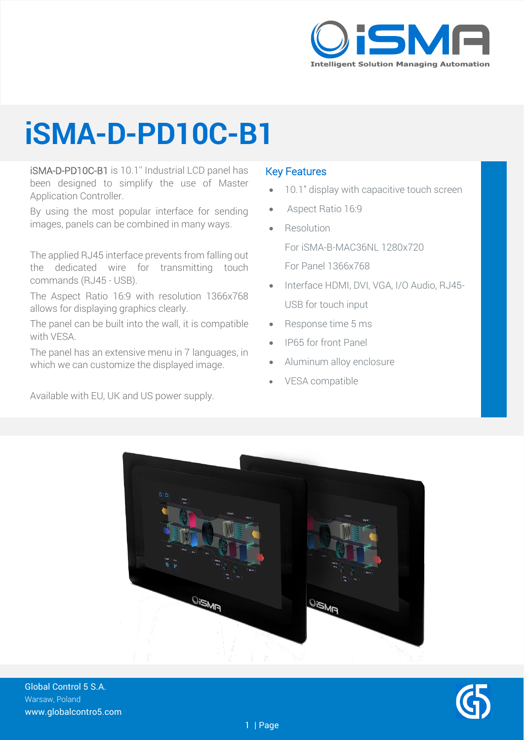

## **iSMA-D-PD10C-B1**

iSMA-D-PD10C-B1 is 10.1'' Industrial LCD panel has been designed to simplify the use of Master Application Controller.

By using the most popular interface for sending images, panels can be combined in many ways.

The applied RJ45 interface prevents from falling out the dedicated wire for transmitting touch commands (RJ45 - USB).

The Aspect Ratio 16:9 with resolution 1366x768 allows for displaying graphics clearly.

The panel can be built into the wall, it is compatible with VESA.

The panel has an extensive menu in 7 languages, in which we can customize the displayed image.

Available with EU, UK and US power supply.

#### Key Features

- 10.1" display with capacitive touch screen
- Aspect Ratio 16:9
- **Resolution**

For iSMA-B-MAC36NL 1280x720

- For Panel 1366x768
- Interface HDMI, DVI, VGA, I/O Audio, RJ45- USB for touch input
- Response time 5 ms
- IP65 for front Panel
- Aluminum alloy enclosure
- VESA compatible



Global Control 5 S.A. Warsaw, Poland www.globalcontro5.com